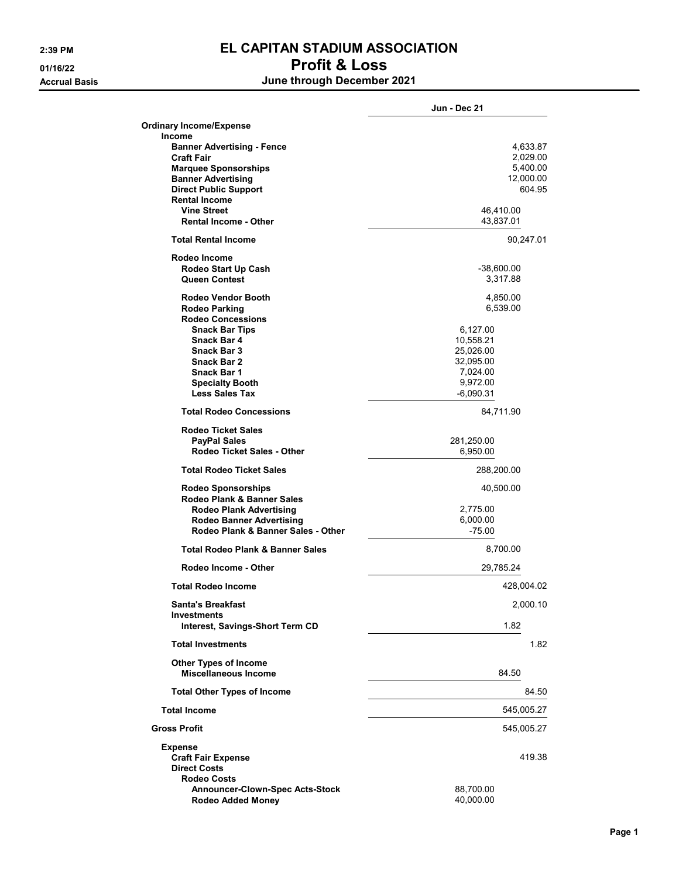## 2:39 PM EL CAPITAN STADIUM ASSOCIATION 01/16/22 Profit & Loss

Accrual Basis June through December 2021

|                                                                       | Jun - Dec 21         |
|-----------------------------------------------------------------------|----------------------|
| <b>Ordinary Income/Expense</b>                                        |                      |
| <b>Income</b>                                                         |                      |
| <b>Banner Advertising - Fence</b>                                     | 4,633.87             |
| <b>Craft Fair</b>                                                     | 2,029.00             |
| <b>Marquee Sponsorships</b>                                           | 5,400.00             |
| <b>Banner Advertising</b>                                             | 12,000.00            |
| <b>Direct Public Support</b>                                          | 604.95               |
| <b>Rental Income</b>                                                  |                      |
| <b>Vine Street</b>                                                    | 46,410.00            |
| <b>Rental Income - Other</b>                                          | 43,837.01            |
| <b>Total Rental Income</b>                                            | 90,247.01            |
| Rodeo Income                                                          |                      |
| Rodeo Start Up Cash                                                   | -38,600.00           |
| Queen Contest                                                         | 3,317.88             |
| <b>Rodeo Vendor Booth</b>                                             | 4,850.00             |
| <b>Rodeo Parking</b>                                                  | 6,539.00             |
| <b>Rodeo Concessions</b>                                              |                      |
| <b>Snack Bar Tips</b>                                                 | 6,127.00             |
| Snack Bar 4                                                           | 10,558.21            |
| Snack Bar 3                                                           | 25,026.00            |
|                                                                       |                      |
| Snack Bar 2                                                           | 32,095.00            |
| <b>Snack Bar 1</b>                                                    | 7,024.00             |
| <b>Specialty Booth</b>                                                | 9,972.00             |
| <b>Less Sales Tax</b>                                                 | $-6,090.31$          |
| <b>Total Rodeo Concessions</b>                                        | 84,711.90            |
| <b>Rodeo Ticket Sales</b>                                             |                      |
| PayPal Sales                                                          | 281,250.00           |
| <b>Rodeo Ticket Sales - Other</b>                                     | 6,950.00             |
| <b>Total Rodeo Ticket Sales</b>                                       | 288,200.00           |
| <b>Rodeo Sponsorships</b>                                             | 40,500.00            |
| Rodeo Plank & Banner Sales                                            |                      |
|                                                                       |                      |
| <b>Rodeo Plank Advertising</b>                                        | 2,775.00<br>6,000.00 |
| <b>Rodeo Banner Advertising</b><br>Rodeo Plank & Banner Sales - Other |                      |
|                                                                       | $-75.00$             |
| <b>Total Rodeo Plank &amp; Banner Sales</b>                           | 8,700.00             |
| Rodeo Income - Other                                                  | 29,785.24            |
| <b>Total Rodeo Income</b>                                             | 428,004.02           |
| <b>Santa's Breakfast</b>                                              | 2,000.10             |
| <b>Investments</b><br>Interest, Savings-Short Term CD                 | 1.82                 |
| <b>Total Investments</b>                                              | 1.82                 |
| <b>Other Types of Income</b>                                          |                      |
| Miscellaneous Income                                                  | 84.50                |
| <b>Total Other Types of Income</b>                                    | 84.50                |
| <b>Total Income</b>                                                   | 545,005.27           |
| <b>Gross Profit</b>                                                   | 545,005.27           |
| <b>Expense</b>                                                        |                      |
| <b>Craft Fair Expense</b>                                             | 419.38               |
| <b>Direct Costs</b>                                                   |                      |
| <b>Rodeo Costs</b>                                                    |                      |
| <b>Announcer-Clown-Spec Acts-Stock</b>                                | 88,700.00            |
| <b>Rodeo Added Money</b>                                              | 40,000.00            |